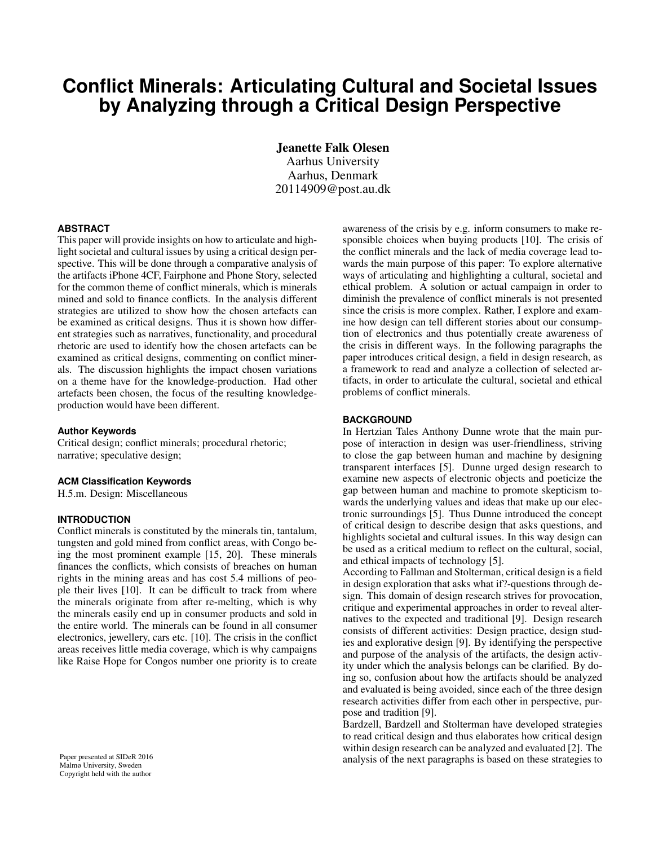# **Conflict Minerals: Articulating Cultural and Societal Issues by Analyzing through a Critical Design Perspective**

Jeanette Falk Olesen Aarhus University Aarhus, Denmark 20114909@post.au.dk

#### **ABSTRACT**

This paper will provide insights on how to articulate and highlight societal and cultural issues by using a critical design perspective. This will be done through a comparative analysis of the artifacts iPhone 4CF, Fairphone and Phone Story, selected for the common theme of conflict minerals, which is minerals mined and sold to finance conflicts. In the analysis different strategies are utilized to show how the chosen artefacts can be examined as critical designs. Thus it is shown how different strategies such as narratives, functionality, and procedural rhetoric are used to identify how the chosen artefacts can be examined as critical designs, commenting on conflict minerals. The discussion highlights the impact chosen variations on a theme have for the knowledge-production. Had other artefacts been chosen, the focus of the resulting knowledgeproduction would have been different.

#### **Author Keywords**

Critical design; conflict minerals; procedural rhetoric; narrative; speculative design;

#### **ACM Classification Keywords**

H.5.m. Design: Miscellaneous

#### **INTRODUCTION**

Conflict minerals is constituted by the minerals tin, tantalum, tungsten and gold mined from conflict areas, with Congo being the most prominent example [\[15,](#page-3-0) [20\]](#page-3-1). These minerals finances the conflicts, which consists of breaches on human rights in the mining areas and has cost 5.4 millions of people their lives [\[10\]](#page-3-2). It can be difficult to track from where the minerals originate from after re-melting, which is why the minerals easily end up in consumer products and sold in the entire world. The minerals can be found in all consumer electronics, jewellery, cars etc. [\[10\]](#page-3-2). The crisis in the conflict areas receives little media coverage, which is why campaigns like Raise Hope for Congos number one priority is to create

Paper presented at SIDeR 2016 Malmø University, Sweden Copyright held with the author

awareness of the crisis by e.g. inform consumers to make responsible choices when buying products [\[10\]](#page-3-2). The crisis of the conflict minerals and the lack of media coverage lead towards the main purpose of this paper: To explore alternative ways of articulating and highlighting a cultural, societal and ethical problem. A solution or actual campaign in order to diminish the prevalence of conflict minerals is not presented since the crisis is more complex. Rather, I explore and examine how design can tell different stories about our consumption of electronics and thus potentially create awareness of the crisis in different ways. In the following paragraphs the paper introduces critical design, a field in design research, as a framework to read and analyze a collection of selected artifacts, in order to articulate the cultural, societal and ethical problems of conflict minerals.

#### **BACKGROUND**

In Hertzian Tales Anthony Dunne wrote that the main purpose of interaction in design was user-friendliness, striving to close the gap between human and machine by designing transparent interfaces [\[5\]](#page-3-3). Dunne urged design research to examine new aspects of electronic objects and poeticize the gap between human and machine to promote skepticism towards the underlying values and ideas that make up our electronic surroundings [\[5\]](#page-3-3). Thus Dunne introduced the concept of critical design to describe design that asks questions, and highlights societal and cultural issues. In this way design can be used as a critical medium to reflect on the cultural, social, and ethical impacts of technology [\[5\]](#page-3-3).

According to Fallman and Stolterman, critical design is a field in design exploration that asks what if?-questions through design. This domain of design research strives for provocation, critique and experimental approaches in order to reveal alternatives to the expected and traditional [\[9\]](#page-3-4). Design research consists of different activities: Design practice, design studies and explorative design [\[9\]](#page-3-4). By identifying the perspective and purpose of the analysis of the artifacts, the design activity under which the analysis belongs can be clarified. By doing so, confusion about how the artifacts should be analyzed and evaluated is being avoided, since each of the three design research activities differ from each other in perspective, purpose and tradition [\[9\]](#page-3-4).

Bardzell, Bardzell and Stolterman have developed strategies to read critical design and thus elaborates how critical design within design research can be analyzed and evaluated [\[2\]](#page-3-5). The analysis of the next paragraphs is based on these strategies to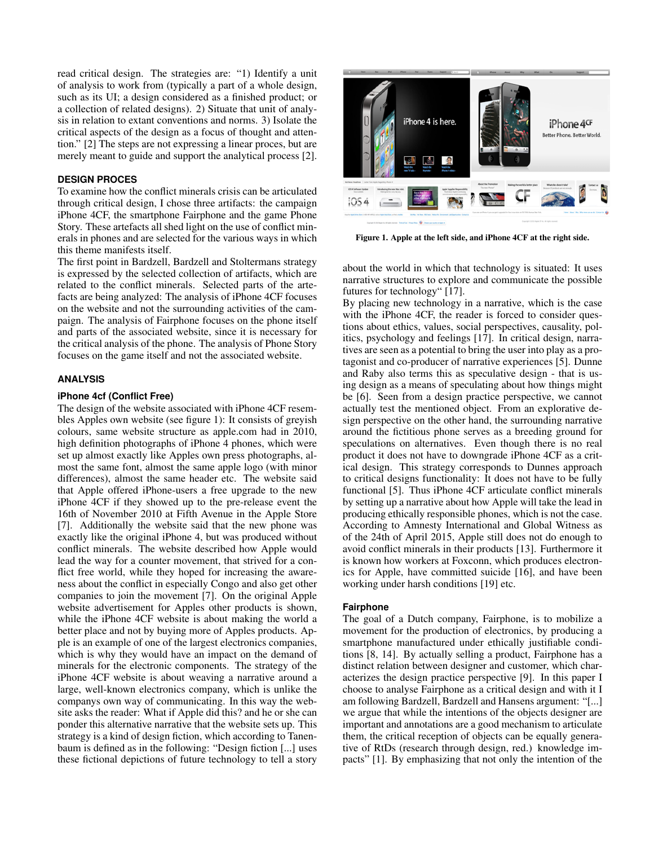read critical design. The strategies are: "1) Identify a unit of analysis to work from (typically a part of a whole design, such as its UI; a design considered as a finished product; or a collection of related designs). 2) Situate that unit of analysis in relation to extant conventions and norms. 3) Isolate the critical aspects of the design as a focus of thought and attention." [\[2\]](#page-3-5) The steps are not expressing a linear proces, but are merely meant to guide and support the analytical process [\[2\]](#page-3-5).

# **DESIGN PROCES**

To examine how the conflict minerals crisis can be articulated through critical design, I chose three artifacts: the campaign iPhone 4CF, the smartphone Fairphone and the game Phone Story. These artefacts all shed light on the use of conflict minerals in phones and are selected for the various ways in which this theme manifests itself.

The first point in Bardzell, Bardzell and Stoltermans strategy is expressed by the selected collection of artifacts, which are related to the conflict minerals. Selected parts of the artefacts are being analyzed: The analysis of iPhone 4CF focuses on the website and not the surrounding activities of the campaign. The analysis of Fairphone focuses on the phone itself and parts of the associated website, since it is necessary for the critical analysis of the phone. The analysis of Phone Story focuses on the game itself and not the associated website.

#### **ANALYSIS**

#### **iPhone 4cf (Conflict Free)**

The design of the website associated with iPhone 4CF resembles Apples own website (see figure 1): It consists of greyish colours, same website structure as apple.com had in 2010, high definition photographs of iPhone 4 phones, which were set up almost exactly like Apples own press photographs, almost the same font, almost the same apple logo (with minor differences), almost the same header etc. The website said that Apple offered iPhone-users a free upgrade to the new iPhone 4CF if they showed up to the pre-release event the 16th of November 2010 at Fifth Avenue in the Apple Store [\[7\]](#page-3-6). Additionally the website said that the new phone was exactly like the original iPhone 4, but was produced without conflict minerals. The website described how Apple would lead the way for a counter movement, that strived for a conflict free world, while they hoped for increasing the awareness about the conflict in especially Congo and also get other companies to join the movement [\[7\]](#page-3-6). On the original Apple website advertisement for Apples other products is shown, while the iPhone 4CF website is about making the world a better place and not by buying more of Apples products. Apple is an example of one of the largest electronics companies, which is why they would have an impact on the demand of minerals for the electronic components. The strategy of the iPhone 4CF website is about weaving a narrative around a large, well-known electronics company, which is unlike the companys own way of communicating. In this way the website asks the reader: What if Apple did this? and he or she can ponder this alternative narrative that the website sets up. This strategy is a kind of design fiction, which according to Tanenbaum is defined as in the following: "Design fiction [...] uses these fictional depictions of future technology to tell a story



Figure 1. Apple at the left side, and iPhone 4CF at the right side.

about the world in which that technology is situated: It uses narrative structures to explore and communicate the possible futures for technology" [\[17\]](#page-3-7).

By placing new technology in a narrative, which is the case with the iPhone 4CF, the reader is forced to consider questions about ethics, values, social perspectives, causality, politics, psychology and feelings [\[17\]](#page-3-7). In critical design, narratives are seen as a potential to bring the user into play as a protagonist and co-producer of narrative experiences [\[5\]](#page-3-3). Dunne and Raby also terms this as speculative design - that is using design as a means of speculating about how things might be [\[6\]](#page-3-8). Seen from a design practice perspective, we cannot actually test the mentioned object. From an explorative design perspective on the other hand, the surrounding narrative around the fictitious phone serves as a breeding ground for speculations on alternatives. Even though there is no real product it does not have to downgrade iPhone 4CF as a critical design. This strategy corresponds to Dunnes approach to critical designs functionality: It does not have to be fully functional [\[5\]](#page-3-3). Thus iPhone 4CF articulate conflict minerals by setting up a narrative about how Apple will take the lead in producing ethically responsible phones, which is not the case. According to Amnesty International and Global Witness as of the 24th of April 2015, Apple still does not do enough to avoid conflict minerals in their products [\[13\]](#page-3-9). Furthermore it is known how workers at Foxconn, which produces electronics for Apple, have committed suicide [\[16\]](#page-3-10), and have been working under harsh conditions [\[19\]](#page-3-11) etc.

#### **Fairphone**

The goal of a Dutch company, Fairphone, is to mobilize a movement for the production of electronics, by producing a smartphone manufactured under ethically justifiable conditions [\[8,](#page-3-12) [14\]](#page-3-13). By actually selling a product, Fairphone has a distinct relation between designer and customer, which characterizes the design practice perspective [\[9\]](#page-3-4). In this paper I choose to analyse Fairphone as a critical design and with it I am following Bardzell, Bardzell and Hansens argument: "[...] we argue that while the intentions of the objects designer are important and annotations are a good mechanism to articulate them, the critical reception of objects can be equally generative of RtDs (research through design, red.) knowledge impacts" [\[1\]](#page-3-14). By emphasizing that not only the intention of the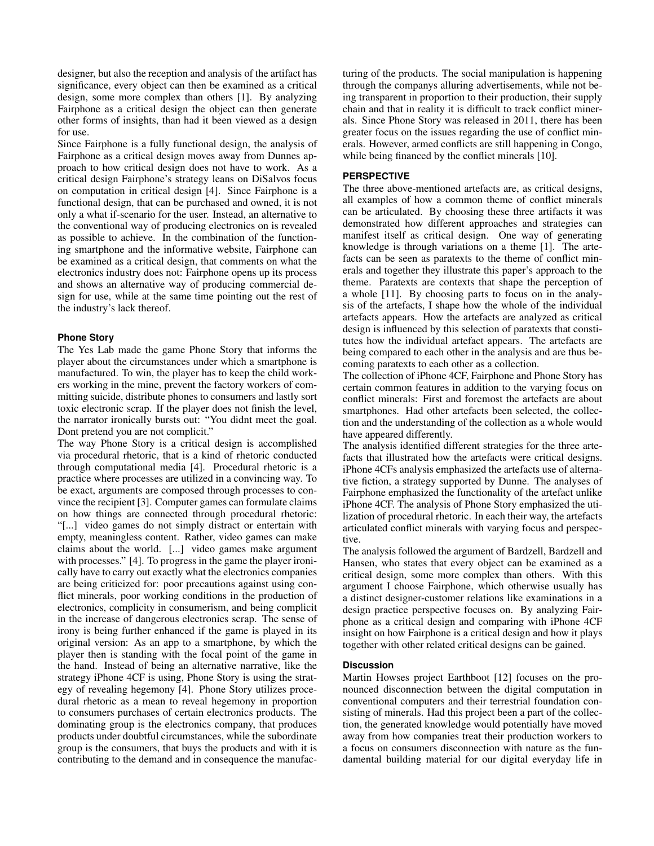designer, but also the reception and analysis of the artifact has significance, every object can then be examined as a critical design, some more complex than others [\[1\]](#page-3-14). By analyzing Fairphone as a critical design the object can then generate other forms of insights, than had it been viewed as a design for use.

Since Fairphone is a fully functional design, the analysis of Fairphone as a critical design moves away from Dunnes approach to how critical design does not have to work. As a critical design Fairphone's strategy leans on DiSalvos focus on computation in critical design [\[4\]](#page-3-15). Since Fairphone is a functional design, that can be purchased and owned, it is not only a what if-scenario for the user. Instead, an alternative to the conventional way of producing electronics on is revealed as possible to achieve. In the combination of the functioning smartphone and the informative website, Fairphone can be examined as a critical design, that comments on what the electronics industry does not: Fairphone opens up its process and shows an alternative way of producing commercial design for use, while at the same time pointing out the rest of the industry's lack thereof.

# **Phone Story**

The Yes Lab made the game Phone Story that informs the player about the circumstances under which a smartphone is manufactured. To win, the player has to keep the child workers working in the mine, prevent the factory workers of committing suicide, distribute phones to consumers and lastly sort toxic electronic scrap. If the player does not finish the level, the narrator ironically bursts out: "You didnt meet the goal. Dont pretend you are not complicit."

The way Phone Story is a critical design is accomplished via procedural rhetoric, that is a kind of rhetoric conducted through computational media [\[4\]](#page-3-15). Procedural rhetoric is a practice where processes are utilized in a convincing way. To be exact, arguments are composed through processes to convince the recipient [\[3\]](#page-3-16). Computer games can formulate claims on how things are connected through procedural rhetoric: "[...] video games do not simply distract or entertain with empty, meaningless content. Rather, video games can make claims about the world. [...] video games make argument with processes." [\[4\]](#page-3-15). To progress in the game the player ironically have to carry out exactly what the electronics companies are being criticized for: poor precautions against using conflict minerals, poor working conditions in the production of electronics, complicity in consumerism, and being complicit in the increase of dangerous electronics scrap. The sense of irony is being further enhanced if the game is played in its original version: As an app to a smartphone, by which the player then is standing with the focal point of the game in the hand. Instead of being an alternative narrative, like the strategy iPhone 4CF is using, Phone Story is using the strategy of revealing hegemony [\[4\]](#page-3-15). Phone Story utilizes procedural rhetoric as a mean to reveal hegemony in proportion to consumers purchases of certain electronics products. The dominating group is the electronics company, that produces products under doubtful circumstances, while the subordinate group is the consumers, that buys the products and with it is contributing to the demand and in consequence the manufacturing of the products. The social manipulation is happening through the companys alluring advertisements, while not being transparent in proportion to their production, their supply chain and that in reality it is difficult to track conflict minerals. Since Phone Story was released in 2011, there has been greater focus on the issues regarding the use of conflict minerals. However, armed conflicts are still happening in Congo, while being financed by the conflict minerals [\[10\]](#page-3-2).

# **PERSPECTIVE**

The three above-mentioned artefacts are, as critical designs, all examples of how a common theme of conflict minerals can be articulated. By choosing these three artifacts it was demonstrated how different approaches and strategies can manifest itself as critical design. One way of generating knowledge is through variations on a theme [\[1\]](#page-3-14). The artefacts can be seen as paratexts to the theme of conflict minerals and together they illustrate this paper's approach to the theme. Paratexts are contexts that shape the perception of a whole [\[11\]](#page-3-17). By choosing parts to focus on in the analysis of the artefacts, I shape how the whole of the individual artefacts appears. How the artefacts are analyzed as critical design is influenced by this selection of paratexts that constitutes how the individual artefact appears. The artefacts are being compared to each other in the analysis and are thus becoming paratexts to each other as a collection.

The collection of iPhone 4CF, Fairphone and Phone Story has certain common features in addition to the varying focus on conflict minerals: First and foremost the artefacts are about smartphones. Had other artefacts been selected, the collection and the understanding of the collection as a whole would have appeared differently.

The analysis identified different strategies for the three artefacts that illustrated how the artefacts were critical designs. iPhone 4CFs analysis emphasized the artefacts use of alternative fiction, a strategy supported by Dunne. The analyses of Fairphone emphasized the functionality of the artefact unlike iPhone 4CF. The analysis of Phone Story emphasized the utilization of procedural rhetoric. In each their way, the artefacts articulated conflict minerals with varying focus and perspective.

The analysis followed the argument of Bardzell, Bardzell and Hansen, who states that every object can be examined as a critical design, some more complex than others. With this argument I choose Fairphone, which otherwise usually has a distinct designer-customer relations like examinations in a design practice perspective focuses on. By analyzing Fairphone as a critical design and comparing with iPhone 4CF insight on how Fairphone is a critical design and how it plays together with other related critical designs can be gained.

# **Discussion**

Martin Howses project Earthboot [\[12\]](#page-3-18) focuses on the pronounced disconnection between the digital computation in conventional computers and their terrestrial foundation consisting of minerals. Had this project been a part of the collection, the generated knowledge would potentially have moved away from how companies treat their production workers to a focus on consumers disconnection with nature as the fundamental building material for our digital everyday life in